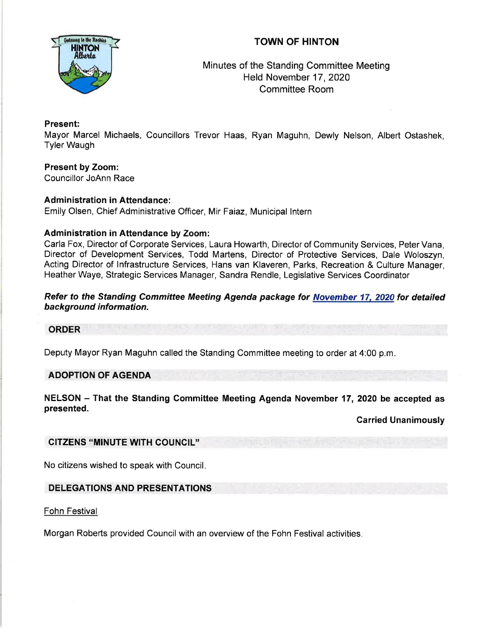# TOWN OF HINTON



# Minutes of the Standing Committee Meeting Held November 17,2020 Committee Room

## Present:

Mayor Marcel Michaels, Councillors Trevor Haas, Ryan Maguhn, Dewly Nelson, Albert Ostashek, Tyler Waugh

Present by Zoom: Councillor JoAnn Race

## Administration in Attendance:

Emily Olsen, Chief Administrative Officer, Mir Faiaz, Municipal lntern

## Administration in Attendance by Zoom:

Carla Fox, Director of Corporate Services, Laura Howarth, Director of Community Services, Peter Vana, Director of Development Services, Todd Martens, Director of Protective Services, Dale Woloszyn, Acting Director of lnfrastructure Services, Hans van Klaveren, Parks, Recreation & Culture Manager, Heather Waye, Strategic Services Manager, Sandra Rendle, Legislative Services Coordinator

### Refer to the Standing Committee Meeting Agenda package for November 17, 2020 for detailed hackground information.

### **ORDER**

Deputy Mayor Ryan Maguhn called the Standing Committee meeting to order at 4:00 p.m

# ADOPTION OF AGENDA

NELSON - That the Standing Committee Meeting Agenda November 17, 2020 be accepted as presented.

Carried Unanimously

## CITZENS "MINUTE W|TH COUNCIL''

No citizens wished to speak with Council

# DELEGATIONS AND PRESENTATIONS

Fohn Festival

Morgan Roberts provided Council with an overview of the Fohn Festival activities.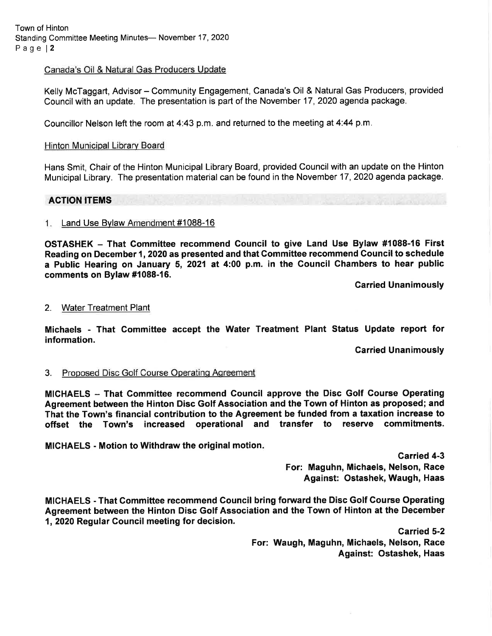Town of Hinton Standing Committee Meeting Minutes- November 17, 2020 Page l2

Canada's Oil & Natural Gas Producers Update

Kelly McTaggart, Advisor - Community Engagement, Canada's Oil & Natural Gas Producers, provided Council with an update. The presentation is part of the November 17, 2020 agenda package.

Councillor Nelson left the room at  $4:43$  p.m. and returned to the meeting at  $4:44$  p.m.

#### Hinton Municipal Library Board

Hans Smit, Chair of the Hinton Municipal Library Board, provided Council with an update on the Hinton Municipal Library. The presentation material can be found in the November 17 ,2020 agenda package.

#### ACTION ITEMS

#### 1. Land Use Bylaw Amendment #1088-16

OSTASHEK - That Committee recommend Gouncil to give Land Use Bylaw #1088-16 First Reading on December 1, 2020 as presented and that Committee recommend Council to schedule a Public Hearing on January 5, 2021 at 4:00 p.m. in the Gouncil Chambers to hear public comments on Bylaw #1088-16.

Garried Unanimously

#### 2. Water Treatment Plant

Michaels - That Gommittee accept the Water Treatment Plant Status Update report for information.

Carried Unanimously

#### 3. Proposed Disc Golf Course Operating Agreement

MICHAELS - That Committee recommend Council approve the Disc Golf Course Operating Agreement between the Hinton Disc Golf Association and the Town of Hinton as proposed; and That the Town's financial contribution to the Agreement be funded from a taxation increase to offset the Town's increased operational and transfer to reserve commitments.

MICHAELS - Motion to Withdraw the original motion

Garried 4-3 For: Maguhn, Michaels, Nelson, Race Against: Ostashek, Waugh, Haas

MICHAELS - That Gommittee recommend Gouncil bring forward the Disc Golf Gourse Operating Agreement between the Hinton Disc Golf Association and the Town of Hinton at the December 1,2020 Regular Gouncil meeting for decision.

> Carried 5-2 For: Waugh, Maguhn, Michaels, Nelson, Race Against: Ostashek, Haas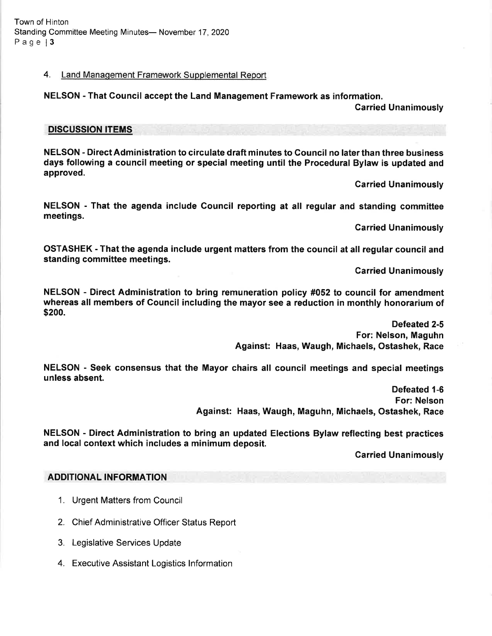### 4. Land Management Framework Supplemental Report

### NELSON - That Council accept the Land Management Framework as information.

Carried Unanimously

#### DISCUSSION ITEMS

NELSON - Direct Administration to circulate draft minutes to Council no later than three business days following a council meeting or special meeting until the Procedural Bylaw is updated and approved.

Carried Unanimously

NELSON - That the agenda include Council reporting at all regular and standing committee meetings.

Carried Unanimously

OSTASHEK - That the agenda include urgent matters from the council at all regular council and standing committee meetings.

Garried Unanimously

NELSON - Direct Administration to bring remuneration policy #052 to council for amendment whereas all members of Council including the mayor see a reduction in monthly honorarium of \$200.

> Defeated 2-5 For: Nelson, Maguhn Against: Haas, Waugh, Michaels, Ostashek, Race

NELSON - Seek consensus that the Mayor chairs all council meetings and special meetings unless absent.

> Defeated 1-6 For: Nelson Against: Haas, Waugh, Maguhn, Michaels, Ostashek, Race

NELSON - Direct Administration to bring an updated Elections Bylaw reflecting best practices and local context which includes a minimum deposit.

Carried Unanimously

### ADDITIONAL INFORMATION

- 1. Urgent Matters from Council
- 2. Chief Administrative Officer Status Report
- 3. Legislative Services Update
- 4. Executive Assistant Logistics lnformation